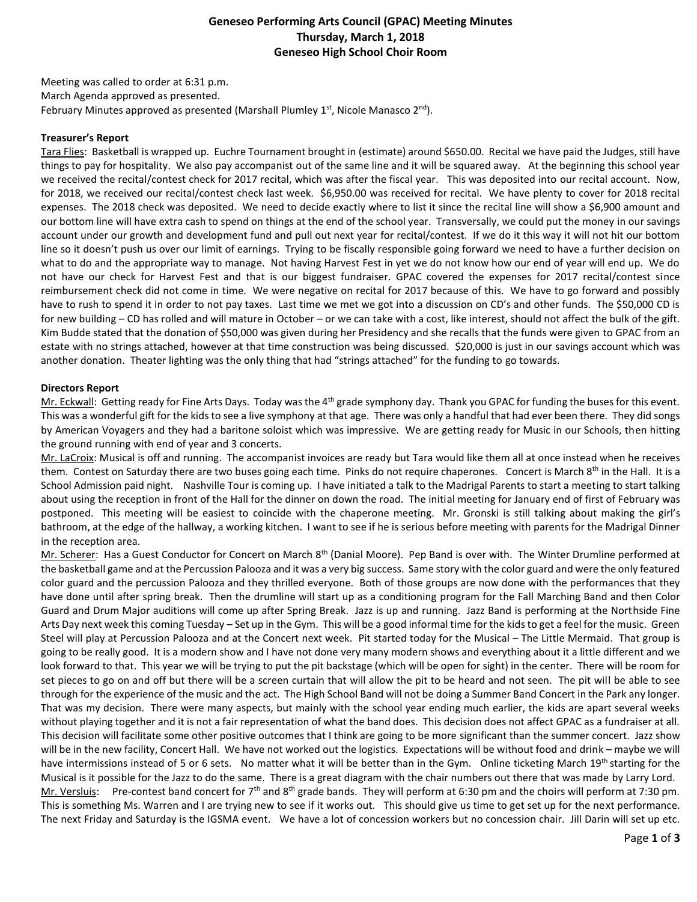# **Geneseo Performing Arts Council (GPAC) Meeting Minutes Thursday, March 1, 2018 Geneseo High School Choir Room**

Meeting was called to order at 6:31 p.m. March Agenda approved as presented. February Minutes approved as presented (Marshall Plumley  $1<sup>st</sup>$ , Nicole Manasco  $2<sup>nd</sup>$ ).

### **Treasurer's Report**

Tara Flies: Basketball is wrapped up. Euchre Tournament brought in (estimate) around \$650.00. Recital we have paid the Judges, still have things to pay for hospitality. We also pay accompanist out of the same line and it will be squared away. At the beginning this school year we received the recital/contest check for 2017 recital, which was after the fiscal year. This was deposited into our recital account. Now, for 2018, we received our recital/contest check last week. \$6,950.00 was received for recital. We have plenty to cover for 2018 recital expenses. The 2018 check was deposited. We need to decide exactly where to list it since the recital line will show a \$6,900 amount and our bottom line will have extra cash to spend on things at the end of the school year. Transversally, we could put the money in our savings account under our growth and development fund and pull out next year for recital/contest. If we do it this way it will not hit our bottom line so it doesn't push us over our limit of earnings. Trying to be fiscally responsible going forward we need to have a further decision on what to do and the appropriate way to manage. Not having Harvest Fest in yet we do not know how our end of year will end up. We do not have our check for Harvest Fest and that is our biggest fundraiser. GPAC covered the expenses for 2017 recital/contest since reimbursement check did not come in time. We were negative on recital for 2017 because of this. We have to go forward and possibly have to rush to spend it in order to not pay taxes. Last time we met we got into a discussion on CD's and other funds. The \$50,000 CD is for new building – CD has rolled and will mature in October – or we can take with a cost, like interest, should not affect the bulk of the gift. Kim Budde stated that the donation of \$50,000 was given during her Presidency and she recalls that the funds were given to GPAC from an estate with no strings attached, however at that time construction was being discussed. \$20,000 is just in our savings account which was another donation. Theater lighting was the only thing that had "strings attached" for the funding to go towards.

### **Directors Report**

Mr. Eckwall: Getting ready for Fine Arts Days. Today was the 4<sup>th</sup> grade symphony day. Thank you GPAC for funding the buses for this event. This was a wonderful gift for the kids to see a live symphony at that age. There was only a handful that had ever been there. They did songs by American Voyagers and they had a baritone soloist which was impressive. We are getting ready for Music in our Schools, then hitting the ground running with end of year and 3 concerts.

Mr. LaCroix: Musical is off and running. The accompanist invoices are ready but Tara would like them all at once instead when he receives them. Contest on Saturday there are two buses going each time. Pinks do not require chaperones. Concert is March 8<sup>th</sup> in the Hall. It is a School Admission paid night. Nashville Tour is coming up. I have initiated a talk to the Madrigal Parents to start a meeting to start talking about using the reception in front of the Hall for the dinner on down the road. The initial meeting for January end of first of February was postponed. This meeting will be easiest to coincide with the chaperone meeting. Mr. Gronski is still talking about making the girl's bathroom, at the edge of the hallway, a working kitchen. I want to see if he is serious before meeting with parents for the Madrigal Dinner in the reception area.

Mr. Scherer: Has a Guest Conductor for Concert on March 8<sup>th</sup> (Danial Moore). Pep Band is over with. The Winter Drumline performed at the basketball game and at the Percussion Palooza and it was a very big success. Same story with the color guard and were the only featured color guard and the percussion Palooza and they thrilled everyone. Both of those groups are now done with the performances that they have done until after spring break. Then the drumline will start up as a conditioning program for the Fall Marching Band and then Color Guard and Drum Major auditions will come up after Spring Break. Jazz is up and running. Jazz Band is performing at the Northside Fine Arts Day next week this coming Tuesday – Set up in the Gym. This will be a good informal time for the kids to get a feel for the music. Green Steel will play at Percussion Palooza and at the Concert next week. Pit started today for the Musical – The Little Mermaid. That group is going to be really good. It is a modern show and I have not done very many modern shows and everything about it a little different and we look forward to that. This year we will be trying to put the pit backstage (which will be open for sight) in the center. There will be room for set pieces to go on and off but there will be a screen curtain that will allow the pit to be heard and not seen. The pit will be able to see through for the experience of the music and the act. The High School Band will not be doing a Summer Band Concert in the Park any longer. That was my decision. There were many aspects, but mainly with the school year ending much earlier, the kids are apart several weeks without playing together and it is not a fair representation of what the band does. This decision does not affect GPAC as a fundraiser at all. This decision will facilitate some other positive outcomes that I think are going to be more significant than the summer concert. Jazz show will be in the new facility, Concert Hall. We have not worked out the logistics. Expectations will be without food and drink – maybe we will have intermissions instead of 5 or 6 sets. No matter what it will be better than in the Gym. Online ticketing March 19<sup>th</sup> starting for the Musical is it possible for the Jazz to do the same. There is a great diagram with the chair numbers out there that was made by Larry Lord. Mr. Versluis: Pre-contest band concert for  $7<sup>th</sup>$  and  $8<sup>th</sup>$  grade bands. They will perform at 6:30 pm and the choirs will perform at 7:30 pm. This is something Ms. Warren and I are trying new to see if it works out. This should give us time to get set up for the next performance. The next Friday and Saturday is the IGSMA event. We have a lot of concession workers but no concession chair. Jill Darin will set up etc.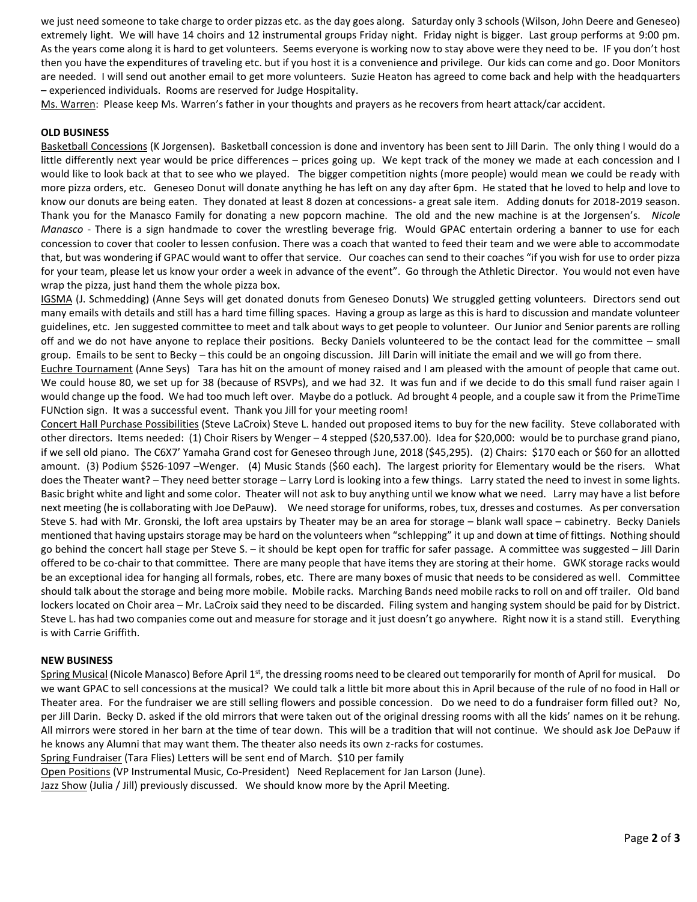we just need someone to take charge to order pizzas etc. as the day goes along. Saturday only 3 schools (Wilson, John Deere and Geneseo) extremely light. We will have 14 choirs and 12 instrumental groups Friday night. Friday night is bigger. Last group performs at 9:00 pm. As the years come along it is hard to get volunteers. Seems everyone is working now to stay above were they need to be. IF you don't host then you have the expenditures of traveling etc. but if you host it is a convenience and privilege. Our kids can come and go. Door Monitors are needed. I will send out another email to get more volunteers. Suzie Heaton has agreed to come back and help with the headquarters – experienced individuals. Rooms are reserved for Judge Hospitality.

Ms. Warren: Please keep Ms. Warren's father in your thoughts and prayers as he recovers from heart attack/car accident.

## **OLD BUSINESS**

Basketball Concessions (K Jorgensen). Basketball concession is done and inventory has been sent to Jill Darin. The only thing I would do a little differently next year would be price differences – prices going up. We kept track of the money we made at each concession and I would like to look back at that to see who we played. The bigger competition nights (more people) would mean we could be ready with more pizza orders, etc. Geneseo Donut will donate anything he has left on any day after 6pm. He stated that he loved to help and love to know our donuts are being eaten. They donated at least 8 dozen at concessions- a great sale item. Adding donuts for 2018-2019 season. Thank you for the Manasco Family for donating a new popcorn machine. The old and the new machine is at the Jorgensen's. *Nicole Manasco* - There is a sign handmade to cover the wrestling beverage frig. Would GPAC entertain ordering a banner to use for each concession to cover that cooler to lessen confusion. There was a coach that wanted to feed their team and we were able to accommodate that, but was wondering if GPAC would want to offer that service. Our coaches can send to their coaches "if you wish for use to order pizza for your team, please let us know your order a week in advance of the event". Go through the Athletic Director. You would not even have wrap the pizza, just hand them the whole pizza box.

IGSMA (J. Schmedding) (Anne Seys will get donated donuts from Geneseo Donuts) We struggled getting volunteers. Directors send out many emails with details and still has a hard time filling spaces. Having a group as large as this is hard to discussion and mandate volunteer guidelines, etc. Jen suggested committee to meet and talk about ways to get people to volunteer. Our Junior and Senior parents are rolling off and we do not have anyone to replace their positions. Becky Daniels volunteered to be the contact lead for the committee – small group. Emails to be sent to Becky – this could be an ongoing discussion. Jill Darin will initiate the email and we will go from there.

Euchre Tournament (Anne Seys) Tara has hit on the amount of money raised and I am pleased with the amount of people that came out. We could house 80, we set up for 38 (because of RSVPs), and we had 32. It was fun and if we decide to do this small fund raiser again I would change up the food. We had too much left over. Maybe do a potluck. Ad brought 4 people, and a couple saw it from the PrimeTime FUNction sign. It was a successful event. Thank you Jill for your meeting room!

Concert Hall Purchase Possibilities (Steve LaCroix) Steve L. handed out proposed items to buy for the new facility. Steve collaborated with other directors. Items needed: (1) Choir Risers by Wenger – 4 stepped (\$20,537.00). Idea for \$20,000: would be to purchase grand piano, if we sell old piano. The C6X7' Yamaha Grand cost for Geneseo through June, 2018 (\$45,295). (2) Chairs: \$170 each or \$60 for an allotted amount. (3) Podium \$526-1097 –Wenger. (4) Music Stands (\$60 each). The largest priority for Elementary would be the risers. What does the Theater want? – They need better storage – Larry Lord is looking into a few things. Larry stated the need to invest in some lights. Basic bright white and light and some color. Theater will not ask to buy anything until we know what we need. Larry may have a list before next meeting (he is collaborating with Joe DePauw). We need storage for uniforms, robes, tux, dresses and costumes. As per conversation Steve S. had with Mr. Gronski, the loft area upstairs by Theater may be an area for storage – blank wall space – cabinetry. Becky Daniels mentioned that having upstairs storage may be hard on the volunteers when "schlepping" it up and down at time of fittings. Nothing should go behind the concert hall stage per Steve S. – it should be kept open for traffic for safer passage. A committee was suggested – Jill Darin offered to be co-chair to that committee. There are many people that have items they are storing at their home. GWK storage racks would be an exceptional idea for hanging all formals, robes, etc. There are many boxes of music that needs to be considered as well. Committee should talk about the storage and being more mobile. Mobile racks. Marching Bands need mobile racks to roll on and off trailer. Old band lockers located on Choir area – Mr. LaCroix said they need to be discarded. Filing system and hanging system should be paid for by District. Steve L. has had two companies come out and measure for storage and it just doesn't go anywhere. Right now it is a stand still. Everything is with Carrie Griffith.

#### **NEW BUSINESS**

Spring Musical (Nicole Manasco) Before April 1<sup>st</sup>, the dressing rooms need to be cleared out temporarily for month of April for musical. Do we want GPAC to sell concessions at the musical? We could talk a little bit more about this in April because of the rule of no food in Hall or Theater area. For the fundraiser we are still selling flowers and possible concession. Do we need to do a fundraiser form filled out? No, per Jill Darin. Becky D. asked if the old mirrors that were taken out of the original dressing rooms with all the kids' names on it be rehung. All mirrors were stored in her barn at the time of tear down. This will be a tradition that will not continue. We should ask Joe DePauw if he knows any Alumni that may want them. The theater also needs its own z-racks for costumes.

Spring Fundraiser (Tara Flies) Letters will be sent end of March. \$10 per family

Open Positions (VP Instrumental Music, Co-President) Need Replacement for Jan Larson (June).

Jazz Show (Julia / Jill) previously discussed. We should know more by the April Meeting.